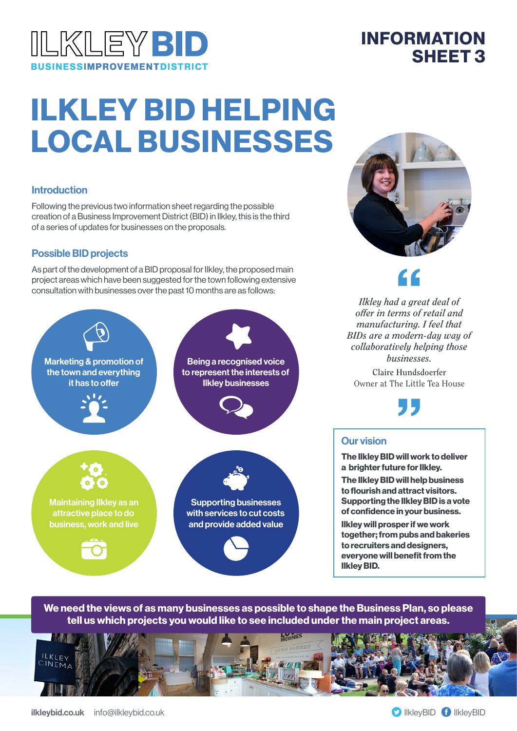

# ILKLEY BID HELPING LOCAL BUSINESSES

#### **Introduction**

Following the previous two information sheet regarding the possible creation of a Business Improvement District (BID) in Ilkley, this is the third of a series of updates for businesses on the proposals.

#### Possible BID projects

As part of the development of a BID proposal for Ilkley, the proposed main project areas which have been suggested for the town following extensive consultation with businesses over the past 10 months are as follows:



INFORMATION

SHEET 3

*Ilkley had a great deal of offer in terms of retail and manufacturing. I feel that*  f<br>
d a gre<br>
a gre<br>
aring.

*BIDs are a modern-day way of collaboratively helping those businesses.*

**Claire Hundsdoerfer** Owner at The Little Tea House "

#### Our vision

The Ilkley BID will work to deliver a brighter future for Ilkley. The Ilkley BID will help business to flourish and attract visitors. Supporting the Ilkley BID is a vote of confidence in your business. Ilkley will prosper if we work together; from pubs and bakeries to recruiters and designers, everyone will benefit from the Ilkley BID.

We need the views of as many businesses as possible to shape the Business Plan, so please tell us which projects you would like to see included under the main project areas.